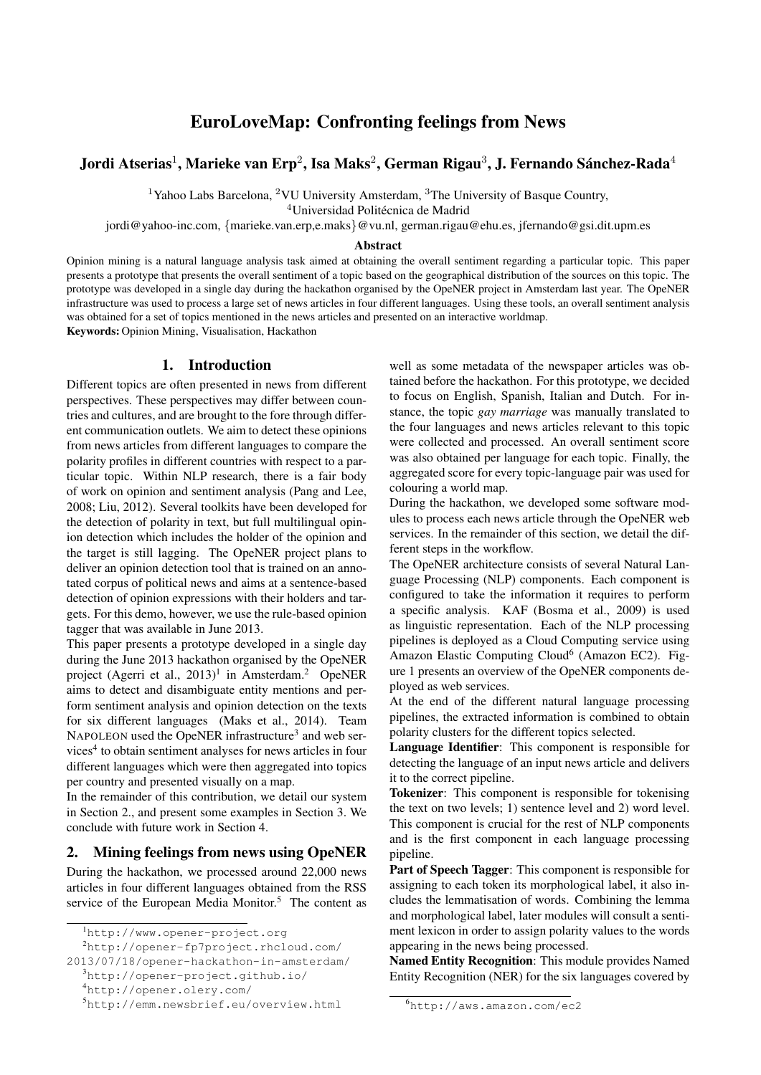# EuroLoveMap: Confronting feelings from News

# Jordi Atserias $^1$ , Marieke van Erp $^2$ , Isa Maks $^2$ , German Rigau $^3$ , J. Fernando Sánchez-Rada $^4$

<sup>1</sup>Yahoo Labs Barcelona, <sup>2</sup>VU University Amsterdam, <sup>3</sup>The University of Basque Country,

<sup>4</sup>Universidad Politécnica de Madrid

jordi@yahoo-inc.com, {marieke.van.erp,e.maks}@vu.nl, german.rigau@ehu.es, jfernando@gsi.dit.upm.es

#### Abstract

Opinion mining is a natural language analysis task aimed at obtaining the overall sentiment regarding a particular topic. This paper presents a prototype that presents the overall sentiment of a topic based on the geographical distribution of the sources on this topic. The prototype was developed in a single day during the hackathon organised by the OpeNER project in Amsterdam last year. The OpeNER infrastructure was used to process a large set of news articles in four different languages. Using these tools, an overall sentiment analysis was obtained for a set of topics mentioned in the news articles and presented on an interactive worldmap.

Keywords: Opinion Mining, Visualisation, Hackathon

#### 1. Introduction

Different topics are often presented in news from different perspectives. These perspectives may differ between countries and cultures, and are brought to the fore through different communication outlets. We aim to detect these opinions from news articles from different languages to compare the polarity profiles in different countries with respect to a particular topic. Within NLP research, there is a fair body of work on opinion and sentiment analysis (Pang and Lee, 2008; Liu, 2012). Several toolkits have been developed for the detection of polarity in text, but full multilingual opinion detection which includes the holder of the opinion and the target is still lagging. The OpeNER project plans to deliver an opinion detection tool that is trained on an annotated corpus of political news and aims at a sentence-based detection of opinion expressions with their holders and targets. For this demo, however, we use the rule-based opinion tagger that was available in June 2013.

This paper presents a prototype developed in a single day during the June 2013 hackathon organised by the OpeNER project (Agerri et al.,  $2013$ )<sup>1</sup> in Amsterdam.<sup>2</sup> OpeNER aims to detect and disambiguate entity mentions and perform sentiment analysis and opinion detection on the texts for six different languages (Maks et al., 2014). Team NAPOLEON used the OpeNER infrastructure<sup>3</sup> and web services<sup>4</sup> to obtain sentiment analyses for news articles in four different languages which were then aggregated into topics per country and presented visually on a map.

In the remainder of this contribution, we detail our system in Section 2., and present some examples in Section 3. We conclude with future work in Section 4.

### 2. Mining feelings from news using OpeNER

During the hackathon, we processed around 22,000 news articles in four different languages obtained from the RSS service of the European Media Monitor.<sup>5</sup> The content as

2013/07/18/opener-hackathon-in-amsterdam/

well as some metadata of the newspaper articles was obtained before the hackathon. For this prototype, we decided to focus on English, Spanish, Italian and Dutch. For instance, the topic *gay marriage* was manually translated to the four languages and news articles relevant to this topic were collected and processed. An overall sentiment score was also obtained per language for each topic. Finally, the aggregated score for every topic-language pair was used for colouring a world map.

During the hackathon, we developed some software modules to process each news article through the OpeNER web services. In the remainder of this section, we detail the different steps in the workflow.

The OpeNER architecture consists of several Natural Language Processing (NLP) components. Each component is configured to take the information it requires to perform a specific analysis. KAF (Bosma et al., 2009) is used as linguistic representation. Each of the NLP processing pipelines is deployed as a Cloud Computing service using Amazon Elastic Computing Cloud<sup>6</sup> (Amazon EC2). Figure 1 presents an overview of the OpeNER components deployed as web services.

At the end of the different natural language processing pipelines, the extracted information is combined to obtain polarity clusters for the different topics selected.

Language Identifier: This component is responsible for detecting the language of an input news article and delivers it to the correct pipeline.

Tokenizer: This component is responsible for tokenising the text on two levels; 1) sentence level and 2) word level. This component is crucial for the rest of NLP components and is the first component in each language processing pipeline.

Part of Speech Tagger: This component is responsible for assigning to each token its morphological label, it also includes the lemmatisation of words. Combining the lemma and morphological label, later modules will consult a sentiment lexicon in order to assign polarity values to the words appearing in the news being processed.

Named Entity Recognition: This module provides Named Entity Recognition (NER) for the six languages covered by

<sup>1</sup>http://www.opener-project.org

<sup>2</sup>http://opener-fp7project.rhcloud.com/

<sup>3</sup>http://opener-project.github.io/

<sup>4</sup>http://opener.olery.com/

<sup>5</sup>http://emm.newsbrief.eu/overview.html

<sup>6</sup>http://aws.amazon.com/ec2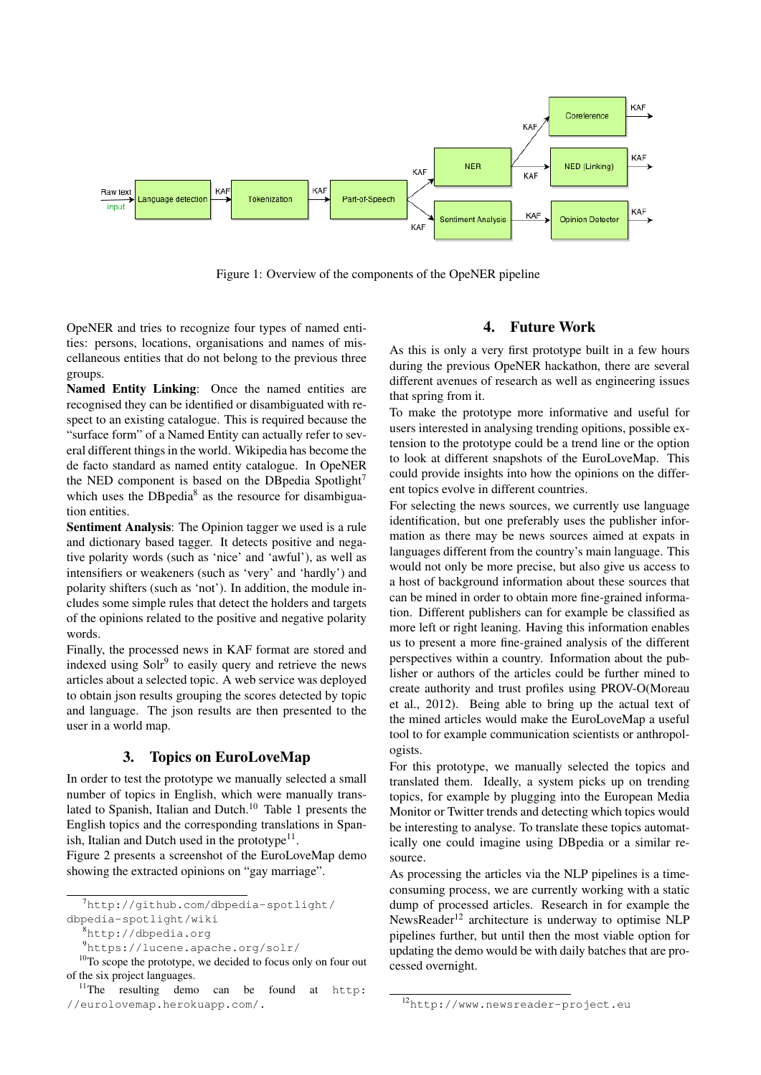

Figure 1: Overview of the components of the OpeNER pipeline

OpeNER and tries to recognize four types of named entities: persons, locations, organisations and names of miscellaneous entities that do not belong to the previous three groups.

Named Entity Linking: Once the named entities are recognised they can be identified or disambiguated with respect to an existing catalogue. This is required because the "surface form" of a Named Entity can actually refer to several different things in the world. Wikipedia has become the de facto standard as named entity catalogue. In OpeNER the NED component is based on the DBpedia Spotlight<sup>7</sup> which uses the DBpedia<sup>8</sup> as the resource for disambiguation entities.

Sentiment Analysis: The Opinion tagger we used is a rule and dictionary based tagger. It detects positive and negative polarity words (such as 'nice' and 'awful'), as well as intensifiers or weakeners (such as 'very' and 'hardly') and polarity shifters (such as 'not'). In addition, the module includes some simple rules that detect the holders and targets of the opinions related to the positive and negative polarity words.

Finally, the processed news in KAF format are stored and indexed using Solr<sup>9</sup> to easily query and retrieve the news articles about a selected topic. A web service was deployed to obtain json results grouping the scores detected by topic and language. The json results are then presented to the user in a world map.

### 3. Topics on EuroLoveMap

In order to test the prototype we manually selected a small number of topics in English, which were manually translated to Spanish, Italian and Dutch.<sup>10</sup> Table 1 presents the English topics and the corresponding translations in Spanish, Italian and Dutch used in the prototype $11$ .

Figure 2 presents a screenshot of the EuroLoveMap demo showing the extracted opinions on "gay marriage".

#### 4. Future Work

As this is only a very first prototype built in a few hours during the previous OpeNER hackathon, there are several different avenues of research as well as engineering issues that spring from it.

To make the prototype more informative and useful for users interested in analysing trending opitions, possible extension to the prototype could be a trend line or the option to look at different snapshots of the EuroLoveMap. This could provide insights into how the opinions on the different topics evolve in different countries.

For selecting the news sources, we currently use language identification, but one preferably uses the publisher information as there may be news sources aimed at expats in languages different from the country's main language. This would not only be more precise, but also give us access to a host of background information about these sources that can be mined in order to obtain more fine-grained information. Different publishers can for example be classified as more left or right leaning. Having this information enables us to present a more fine-grained analysis of the different perspectives within a country. Information about the publisher or authors of the articles could be further mined to create authority and trust profiles using PROV-O(Moreau et al., 2012). Being able to bring up the actual text of the mined articles would make the EuroLoveMap a useful tool to for example communication scientists or anthropologists.

For this prototype, we manually selected the topics and translated them. Ideally, a system picks up on trending topics, for example by plugging into the European Media Monitor or Twitter trends and detecting which topics would be interesting to analyse. To translate these topics automatically one could imagine using DBpedia or a similar resource.

As processing the articles via the NLP pipelines is a timeconsuming process, we are currently working with a static dump of processed articles. Research in for example the NewsReader<sup>12</sup> architecture is underway to optimise NLP pipelines further, but until then the most viable option for updating the demo would be with daily batches that are processed overnight.

<sup>7</sup>http://github.com/dbpedia-spotlight/

dbpedia-spotlight/wiki

<sup>8</sup>http://dbpedia.org

<sup>9</sup>https://lucene.apache.org/solr/

<sup>&</sup>lt;sup>10</sup>To scope the prototype, we decided to focus only on four out of the six project languages.

 $11$ The resulting demo can be found at http: //eurolovemap.herokuapp.com/.

<sup>12</sup>http://www.newsreader-project.eu